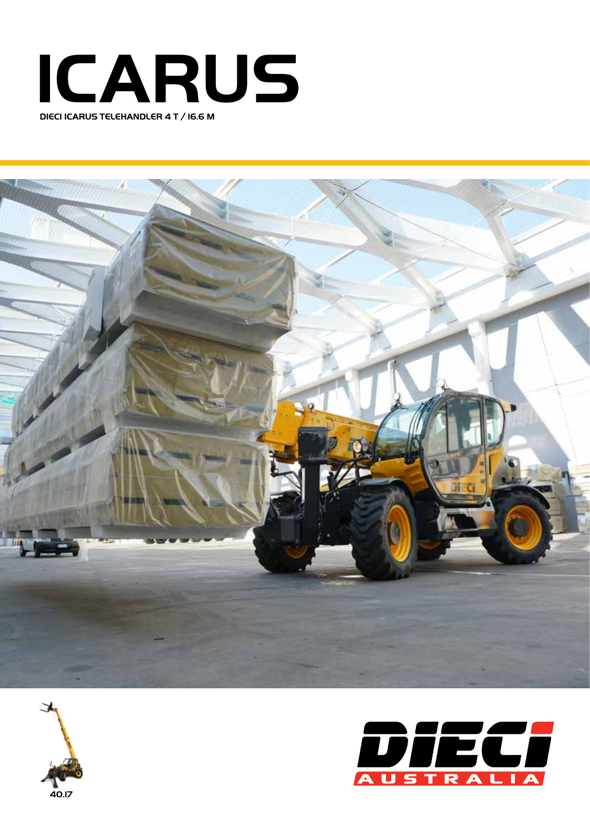





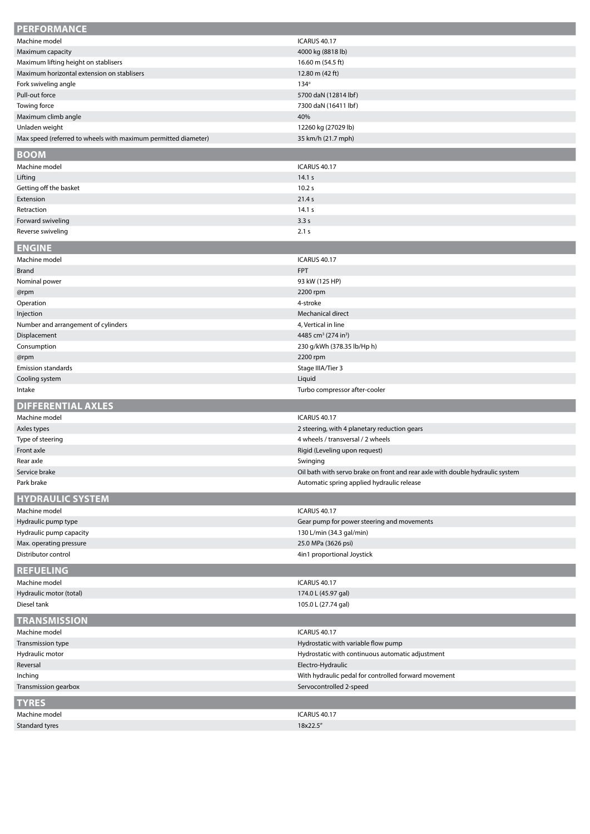| <b>PERFORMANCE</b>                                             |                                                                               |
|----------------------------------------------------------------|-------------------------------------------------------------------------------|
| Machine model                                                  | <b>ICARUS 40.17</b>                                                           |
| Maximum capacity                                               | 4000 kg (8818 lb)                                                             |
| Maximum lifting height on stablisers                           | 16.60 m (54.5 ft)                                                             |
| Maximum horizontal extension on stablisers                     | 12.80 m (42 ft)                                                               |
| Fork swiveling angle                                           | $134^\circ$                                                                   |
| Pull-out force                                                 | 5700 daN (12814 lbf)                                                          |
| Towing force                                                   | 7300 daN (16411 lbf)                                                          |
| Maximum climb angle                                            | 40%                                                                           |
| Unladen weight                                                 | 12260 kg (27029 lb)                                                           |
| Max speed (referred to wheels with maximum permitted diameter) | 35 km/h (21.7 mph)                                                            |
| <b>BOOM</b>                                                    |                                                                               |
| Machine model                                                  | <b>ICARUS 40.17</b>                                                           |
| Lifting                                                        | 14.1 s                                                                        |
| Getting off the basket                                         | 10.2 s                                                                        |
| Extension                                                      | 21.4 s                                                                        |
| Retraction                                                     | 14.1 s                                                                        |
| Forward swiveling                                              | 3.3s                                                                          |
| Reverse swiveling                                              | 2.1 s                                                                         |
|                                                                |                                                                               |
| <b>ENGINE</b>                                                  |                                                                               |
| Machine model                                                  | <b>ICARUS 40.17</b>                                                           |
| <b>Brand</b>                                                   | <b>FPT</b>                                                                    |
| Nominal power                                                  | 93 kW (125 HP)                                                                |
| @rpm                                                           | 2200 rpm                                                                      |
| Operation                                                      | 4-stroke                                                                      |
| Injection                                                      | Mechanical direct                                                             |
| Number and arrangement of cylinders                            | 4, Vertical in line                                                           |
| Displacement                                                   | 4485 cm <sup>3</sup> (274 in <sup>3</sup> )                                   |
| Consumption                                                    | 230 g/kWh (378.35 lb/Hp h)                                                    |
| @rpm                                                           | 2200 rpm                                                                      |
| <b>Emission standards</b>                                      | Stage IIIA/Tier 3                                                             |
| Cooling system                                                 | Liquid                                                                        |
| Intake                                                         | Turbo compressor after-cooler                                                 |
|                                                                |                                                                               |
|                                                                |                                                                               |
| <b>DIFFERENTIAL AXLES</b>                                      |                                                                               |
| Machine model                                                  | <b>ICARUS 40.17</b>                                                           |
| Axles types                                                    | 2 steering, with 4 planetary reduction gears                                  |
| Type of steering                                               | 4 wheels / transversal / 2 wheels                                             |
| Front axle                                                     | Rigid (Leveling upon request)                                                 |
| Rear axle                                                      | Swinging                                                                      |
| Service brake                                                  | Oil bath with servo brake on front and rear axle with double hydraulic system |
| Park brake                                                     | Automatic spring applied hydraulic release                                    |
| <b>HYDRAULIC SYSTEM</b>                                        |                                                                               |
| Machine model                                                  | <b>ICARUS 40.17</b>                                                           |
| Hydraulic pump type                                            | Gear pump for power steering and movements                                    |
| Hydraulic pump capacity                                        | 130 L/min (34.3 gal/min)                                                      |
| Max. operating pressure                                        | 25.0 MPa (3626 psi)                                                           |
| Distributor control                                            | 4in1 proportional Joystick                                                    |
| <b>REFUELING</b>                                               |                                                                               |
| Machine model                                                  | <b>ICARUS 40.17</b>                                                           |
| Hydraulic motor (total)                                        | 174.0 L (45.97 gal)                                                           |
| Diesel tank                                                    | 105.0 L (27.74 gal)                                                           |
|                                                                |                                                                               |
| <b>TRANSMISSION</b>                                            |                                                                               |
| Machine model                                                  | <b>ICARUS 40.17</b>                                                           |
| Transmission type                                              | Hydrostatic with variable flow pump                                           |
| Hydraulic motor                                                | Hydrostatic with continuous automatic adjustment                              |
| Reversal                                                       | Electro-Hydraulic                                                             |
| Inching                                                        | With hydraulic pedal for controlled forward movement                          |
| Transmission gearbox                                           | Servocontrolled 2-speed                                                       |
| <b>TYRES</b>                                                   |                                                                               |
| Machine model                                                  | <b>ICARUS 40.17</b>                                                           |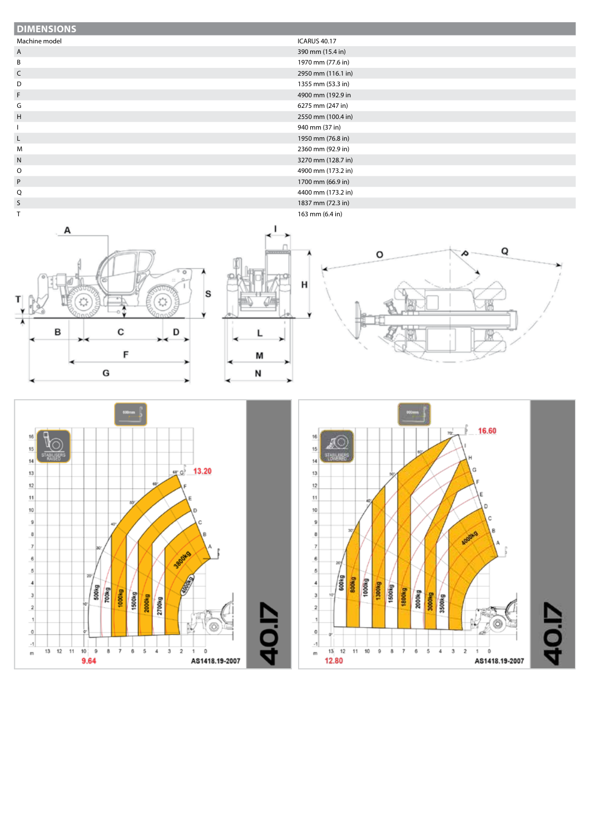## **DIMENSIONS**

## Machine model **ICARUS 40.17**

- A 390 mm (15.4 in)
- 
- B 1970 mm (77.6 in)
- C 2950 mm (116.1 in)
- D 1355 mm (53.3 in)
- F 4900 mm (192.9 in
- G 6275 mm (247 in)
- 
- H 2550 mm (100.4 in)
- I 940 mm (37 in)
- L 1950 mm (76.8 in)
- M 2360 mm (92.9 in) N 3270 mm (128.7 in)
- O 4900 mm (173.2 in)
- P 1700 mm (66.9 in)
- Q 4400 mm (173.2 in)







1837 mm (72.3 in)